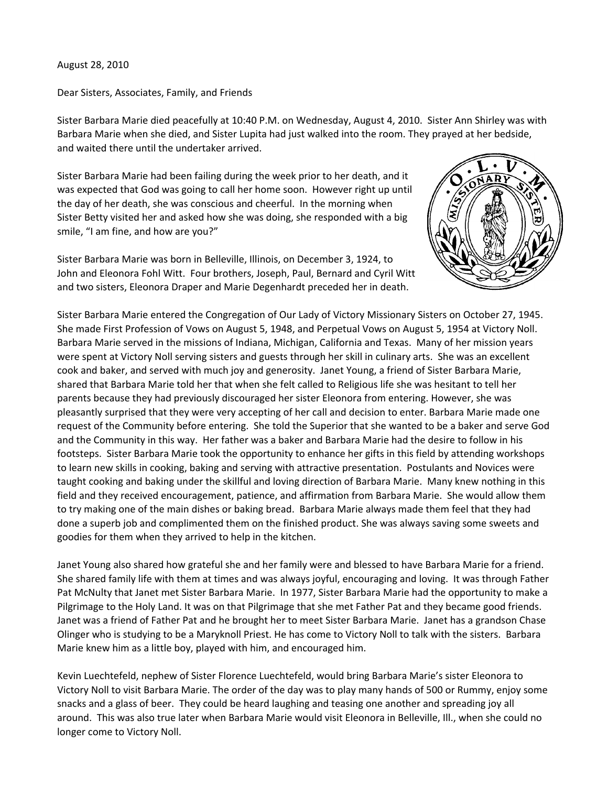## August 28, 2010

Dear Sisters, Associates, Family, and Friends

Sister Barbara Marie died peacefully at 10:40 P.M. on Wednesday, August 4, 2010. Sister Ann Shirley was with Barbara Marie when she died, and Sister Lupita had just walked into the room. They prayed at her bedside, and waited there until the undertaker arrived.

Sister Barbara Marie had been failing during the week prior to her death, and it was expected that God was going to call her home soon. However right up until the day of her death, she was conscious and cheerful. In the morning when Sister Betty visited her and asked how she was doing, she responded with a big smile, "I am fine, and how are you?"





Sister Barbara Marie entered the Congregation of Our Lady of Victory Missionary Sisters on October 27, 1945. She made First Profession of Vows on August 5, 1948, and Perpetual Vows on August 5, 1954 at Victory Noll. Barbara Marie served in the missions of Indiana, Michigan, California and Texas. Many of her mission years were spent at Victory Noll serving sisters and guests through her skill in culinary arts. She was an excellent cook and baker, and served with much joy and generosity. Janet Young, a friend of Sister Barbara Marie, shared that Barbara Marie told her that when she felt called to Religious life she was hesitant to tell her parents because they had previously discouraged her sister Eleonora from entering. However, she was pleasantly surprised that they were very accepting of her call and decision to enter. Barbara Marie made one request of the Community before entering. She told the Superior that she wanted to be a baker and serve God and the Community in this way. Her father was a baker and Barbara Marie had the desire to follow in his footsteps. Sister Barbara Marie took the opportunity to enhance her gifts in this field by attending workshops to learn new skills in cooking, baking and serving with attractive presentation. Postulants and Novices were taught cooking and baking under the skillful and loving direction of Barbara Marie. Many knew nothing in this field and they received encouragement, patience, and affirmation from Barbara Marie. She would allow them to try making one of the main dishes or baking bread. Barbara Marie always made them feel that they had done a superb job and complimented them on the finished product. She was always saving some sweets and goodies for them when they arrived to help in the kitchen.

Janet Young also shared how grateful she and her family were and blessed to have Barbara Marie for a friend. She shared family life with them at times and was always joyful, encouraging and loving. It was through Father Pat McNulty that Janet met Sister Barbara Marie. In 1977, Sister Barbara Marie had the opportunity to make a Pilgrimage to the Holy Land. It was on that Pilgrimage that she met Father Pat and they became good friends. Janet was a friend of Father Pat and he brought her to meet Sister Barbara Marie. Janet has a grandson Chase Olinger who is studying to be a Maryknoll Priest. He has come to Victory Noll to talk with the sisters. Barbara Marie knew him as a little boy, played with him, and encouraged him.

Kevin Luechtefeld, nephew of Sister Florence Luechtefeld, would bring Barbara Marie's sister Eleonora to Victory Noll to visit Barbara Marie. The order of the day was to play many hands of 500 or Rummy, enjoy some snacks and a glass of beer. They could be heard laughing and teasing one another and spreading joy all around. This was also true later when Barbara Marie would visit Eleonora in Belleville, Ill., when she could no longer come to Victory Noll.